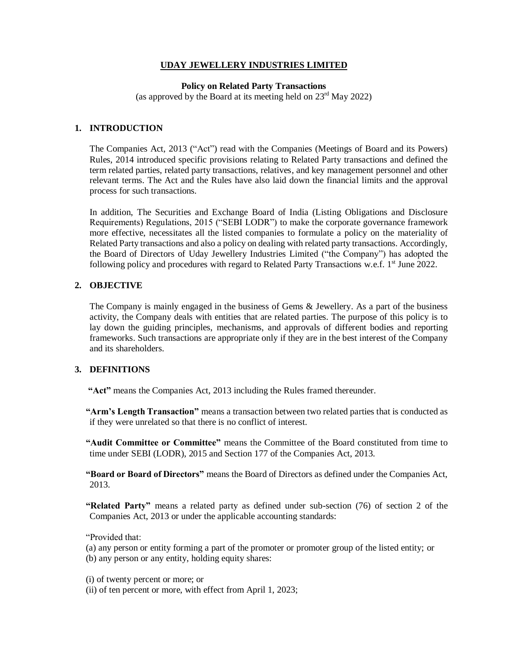#### **UDAY JEWELLERY INDUSTRIES LIMITED**

#### **Policy on Related Party Transactions**

(as approved by the Board at its meeting held on  $23<sup>rd</sup>$  May 2022)

## **1. INTRODUCTION**

The Companies Act, 2013 ("Act") read with the Companies (Meetings of Board and its Powers) Rules, 2014 introduced specific provisions relating to Related Party transactions and defined the term related parties, related party transactions, relatives, and key management personnel and other relevant terms. The Act and the Rules have also laid down the financial limits and the approval process for such transactions.

In addition, The Securities and Exchange Board of India (Listing Obligations and Disclosure Requirements) Regulations, 2015 ("SEBI LODR") to make the corporate governance framework more effective, necessitates all the listed companies to formulate a policy on the materiality of Related Party transactions and also a policy on dealing with related party transactions. Accordingly, the Board of Directors of Uday Jewellery Industries Limited ("the Company") has adopted the following policy and procedures with regard to Related Party Transactions w.e.f. 1<sup>st</sup> June 2022.

#### **2. OBJECTIVE**

The Company is mainly engaged in the business of Gems & Jewellery. As a part of the business activity, the Company deals with entities that are related parties. The purpose of this policy is to lay down the guiding principles, mechanisms, and approvals of different bodies and reporting frameworks. Such transactions are appropriate only if they are in the best interest of the Company and its shareholders.

# **3. DEFINITIONS**

**"Act"** means the Companies Act, 2013 including the Rules framed thereunder.

**"Arm's Length Transaction"** means a transaction between two related parties that is conducted as if they were unrelated so that there is no conflict of interest.

**"Audit Committee or Committee"** means the Committee of the Board constituted from time to time under SEBI (LODR), 2015 and Section 177 of the Companies Act, 2013.

**"Board or Board of Directors"** means the Board of Directors as defined under the Companies Act, 2013.

**"Related Party"** means a related party as defined under sub-section (76) of section 2 of the Companies Act, 2013 or under the applicable accounting standards:

"Provided that:

(a) any person or entity forming a part of the promoter or promoter group of the listed entity; or (b) any person or any entity, holding equity shares:

(i) of twenty percent or more; or

(ii) of ten percent or more, with effect from April 1, 2023;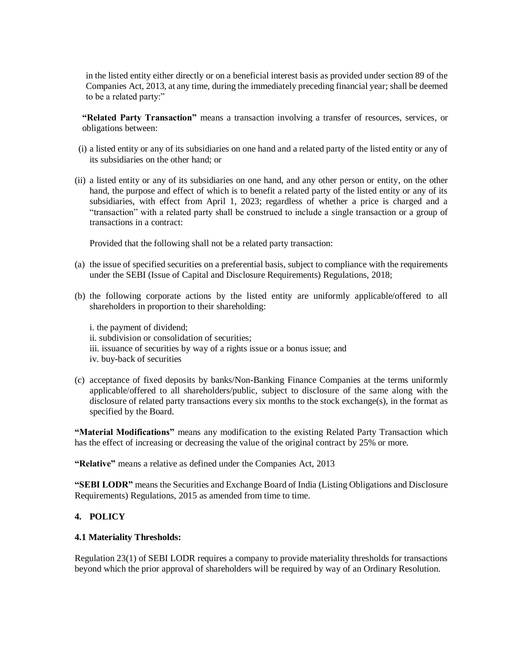in the listed entity either directly or on a beneficial interest basis as provided under section 89 of the Companies Act, 2013, at any time, during the immediately preceding financial year; shall be deemed to be a related party:"

**"Related Party Transaction"** means a transaction involving a transfer of resources, services, or obligations between:

- (i) a listed entity or any of its subsidiaries on one hand and a related party of the listed entity or any of its subsidiaries on the other hand; or
- (ii) a listed entity or any of its subsidiaries on one hand, and any other person or entity, on the other hand, the purpose and effect of which is to benefit a related party of the listed entity or any of its subsidiaries, with effect from April 1, 2023; regardless of whether a price is charged and a "transaction" with a related party shall be construed to include a single transaction or a group of transactions in a contract:

Provided that the following shall not be a related party transaction:

- (a) the issue of specified securities on a preferential basis, subject to compliance with the requirements under the SEBI (Issue of Capital and Disclosure Requirements) Regulations, 2018;
- (b) the following corporate actions by the listed entity are uniformly applicable/offered to all shareholders in proportion to their shareholding:

i. the payment of dividend; ii. subdivision or consolidation of securities; iii. issuance of securities by way of a rights issue or a bonus issue; and iv. buy-back of securities

(c) acceptance of fixed deposits by banks/Non-Banking Finance Companies at the terms uniformly applicable/offered to all shareholders/public, subject to disclosure of the same along with the disclosure of related party transactions every six months to the stock exchange(s), in the format as specified by the Board.

**"Material Modifications"** means any modification to the existing Related Party Transaction which has the effect of increasing or decreasing the value of the original contract by 25% or more.

**"Relative"** means a relative as defined under the Companies Act, 2013

**"SEBI LODR"** means the Securities and Exchange Board of India (Listing Obligations and Disclosure Requirements) Regulations, 2015 as amended from time to time.

## **4. POLICY**

## **4.1 Materiality Thresholds:**

Regulation 23(1) of SEBI LODR requires a company to provide materiality thresholds for transactions beyond which the prior approval of shareholders will be required by way of an Ordinary Resolution.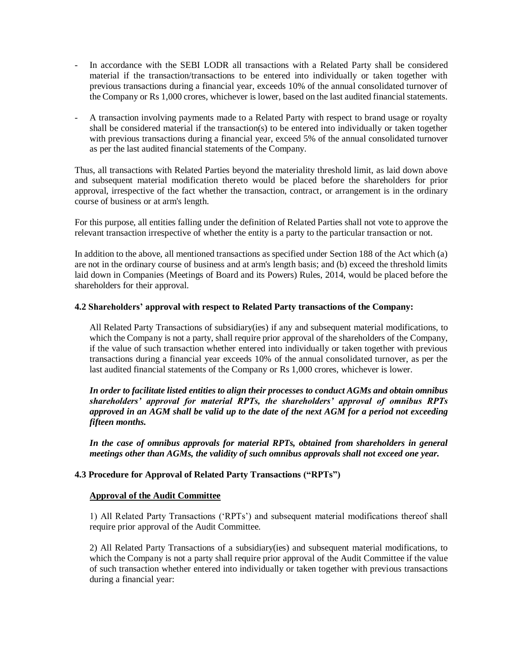- In accordance with the SEBI LODR all transactions with a Related Party shall be considered material if the transaction/transactions to be entered into individually or taken together with previous transactions during a financial year, exceeds 10% of the annual consolidated turnover of the Company or Rs 1,000 crores, whichever is lower, based on the last audited financial statements.
- A transaction involving payments made to a Related Party with respect to brand usage or royalty shall be considered material if the transaction(s) to be entered into individually or taken together with previous transactions during a financial year, exceed 5% of the annual consolidated turnover as per the last audited financial statements of the Company.

Thus, all transactions with Related Parties beyond the materiality threshold limit, as laid down above and subsequent material modification thereto would be placed before the shareholders for prior approval, irrespective of the fact whether the transaction, contract, or arrangement is in the ordinary course of business or at arm's length.

For this purpose, all entities falling under the definition of Related Parties shall not vote to approve the relevant transaction irrespective of whether the entity is a party to the particular transaction or not.

In addition to the above, all mentioned transactions as specified under Section 188 of the Act which (a) are not in the ordinary course of business and at arm's length basis; and (b) exceed the threshold limits laid down in Companies (Meetings of Board and its Powers) Rules, 2014, would be placed before the shareholders for their approval.

## **4.2 Shareholders' approval with respect to Related Party transactions of the Company:**

All Related Party Transactions of subsidiary(ies) if any and subsequent material modifications, to which the Company is not a party, shall require prior approval of the shareholders of the Company, if the value of such transaction whether entered into individually or taken together with previous transactions during a financial year exceeds 10% of the annual consolidated turnover, as per the last audited financial statements of the Company or Rs 1,000 crores, whichever is lower.

*In order to facilitate listed entities to align their processes to conduct AGMs and obtain omnibus shareholders' approval for material RPTs, the shareholders' approval of omnibus RPTs approved in an AGM shall be valid up to the date of the next AGM for a period not exceeding fifteen months.*

*In the case of omnibus approvals for material RPTs, obtained from shareholders in general meetings other than AGMs, the validity of such omnibus approvals shall not exceed one year.*

## **4.3 Procedure for Approval of Related Party Transactions ("RPTs")**

## **Approval of the Audit Committee**

1) All Related Party Transactions ('RPTs') and subsequent material modifications thereof shall require prior approval of the Audit Committee.

2) All Related Party Transactions of a subsidiary(ies) and subsequent material modifications, to which the Company is not a party shall require prior approval of the Audit Committee if the value of such transaction whether entered into individually or taken together with previous transactions during a financial year: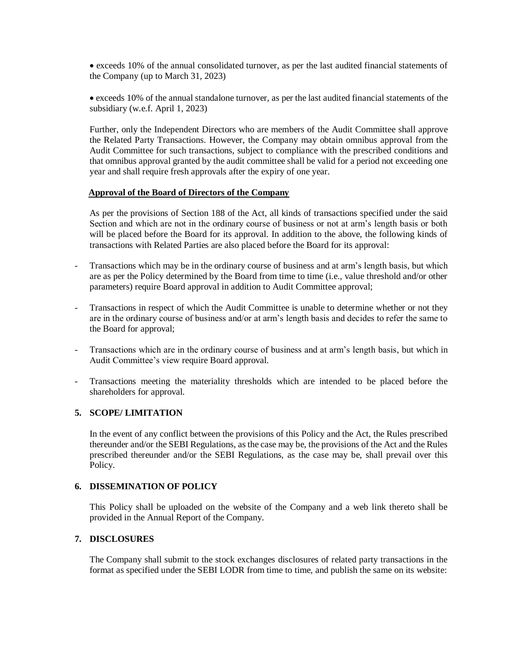exceeds 10% of the annual consolidated turnover, as per the last audited financial statements of the Company (up to March 31, 2023)

 exceeds 10% of the annual standalone turnover, as per the last audited financial statements of the subsidiary (w.e.f. April 1, 2023)

Further, only the Independent Directors who are members of the Audit Committee shall approve the Related Party Transactions. However, the Company may obtain omnibus approval from the Audit Committee for such transactions, subject to compliance with the prescribed conditions and that omnibus approval granted by the audit committee shall be valid for a period not exceeding one year and shall require fresh approvals after the expiry of one year.

#### **Approval of the Board of Directors of the Company**

As per the provisions of Section 188 of the Act, all kinds of transactions specified under the said Section and which are not in the ordinary course of business or not at arm's length basis or both will be placed before the Board for its approval. In addition to the above, the following kinds of transactions with Related Parties are also placed before the Board for its approval:

- Transactions which may be in the ordinary course of business and at arm's length basis, but which are as per the Policy determined by the Board from time to time (i.e., value threshold and/or other parameters) require Board approval in addition to Audit Committee approval;
- Transactions in respect of which the Audit Committee is unable to determine whether or not they are in the ordinary course of business and/or at arm's length basis and decides to refer the same to the Board for approval;
- Transactions which are in the ordinary course of business and at arm's length basis, but which in Audit Committee's view require Board approval.
- Transactions meeting the materiality thresholds which are intended to be placed before the shareholders for approval.

## **5. SCOPE/ LIMITATION**

In the event of any conflict between the provisions of this Policy and the Act, the Rules prescribed thereunder and/or the SEBI Regulations, as the case may be, the provisions of the Act and the Rules prescribed thereunder and/or the SEBI Regulations, as the case may be, shall prevail over this Policy.

#### **6. DISSEMINATION OF POLICY**

This Policy shall be uploaded on the website of the Company and a web link thereto shall be provided in the Annual Report of the Company.

# **7. DISCLOSURES**

The Company shall submit to the stock exchanges disclosures of related party transactions in the format as specified under the SEBI LODR from time to time, and publish the same on its website: